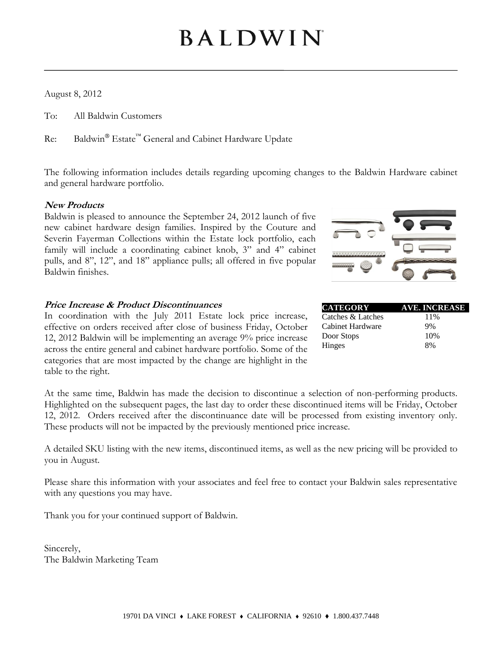# BALDWIN

August 8, 2012

To: All Baldwin Customers

Re: Baldwin® Estate<sup>™</sup> General and Cabinet Hardware Update

The following information includes details regarding upcoming changes to the Baldwin Hardware cabinet and general hardware portfolio.

#### **New Products**

Baldwin is pleased to announce the September 24, 2012 launch of five new cabinet hardware design families. Inspired by the Couture and Severin Fayerman Collections within the Estate lock portfolio, each family will include a coordinating cabinet knob, 3" and 4" cabinet pulls, and 8", 12", and 18" appliance pulls; all offered in five popular Baldwin finishes.

#### **Price Increase & Product Discontinuances**

In coordination with the July 2011 Estate lock price increase, effective on orders received after close of business Friday, October 12, 2012 Baldwin will be implementing an average 9% price increase across the entire general and cabinet hardware portfolio. Some of the categories that are most impacted by the change are highlight in the table to the right.

| <b>AVE. INCREASE</b> |
|----------------------|
| 11\%                 |
| 9%                   |
| 10%                  |
| 8%                   |
|                      |

At the same time, Baldwin has made the decision to discontinue a selection of non-performing products. Highlighted on the subsequent pages, the last day to order these discontinued items will be Friday, October 12, 2012. Orders received after the discontinuance date will be processed from existing inventory only. These products will not be impacted by the previously mentioned price increase.

A detailed SKU listing with the new items, discontinued items, as well as the new pricing will be provided to you in August.

Please share this information with your associates and feel free to contact your Baldwin sales representative with any questions you may have.

Thank you for your continued support of Baldwin.

Sincerely, The Baldwin Marketing Team